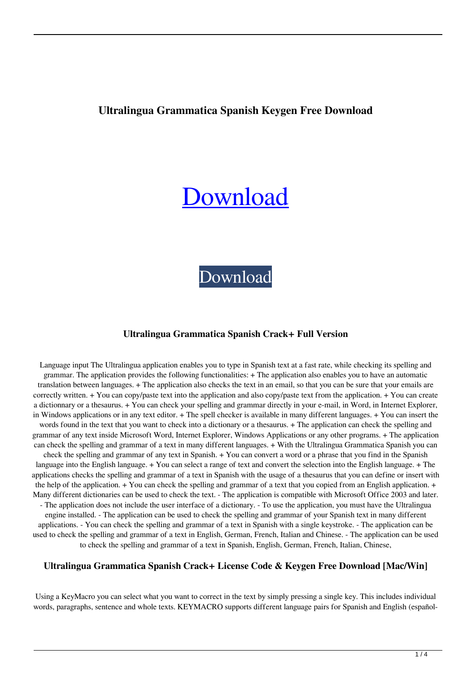## **Ultralingua Grammatica Spanish Keygen Free Download**

# [Download](http://evacdir.com/uvula/biblio/peeked/longlasting.mecklinburg?&ZG93bmxvYWR8OGhJTVRGNGZId3hOalUwTlRJeU1URXdmSHd5TlRrd2ZId29UU2tnVjI5eVpIQnlaWE56SUZ0WVRVeFNVRU1nVmpJZ1VFUkdYUQ=perfomed&voeller=VWx0cmFsaW5ndWEgR3JhbW1hdGljYSBTcGFuaXNoVWx)

[Download](http://evacdir.com/uvula/biblio/peeked/longlasting.mecklinburg?&ZG93bmxvYWR8OGhJTVRGNGZId3hOalUwTlRJeU1URXdmSHd5TlRrd2ZId29UU2tnVjI5eVpIQnlaWE56SUZ0WVRVeFNVRU1nVmpJZ1VFUkdYUQ=perfomed&voeller=VWx0cmFsaW5ndWEgR3JhbW1hdGljYSBTcGFuaXNoVWx)

#### **Ultralingua Grammatica Spanish Crack+ Full Version**

Language input The Ultralingua application enables you to type in Spanish text at a fast rate, while checking its spelling and grammar. The application provides the following functionalities: + The application also enables you to have an automatic translation between languages. + The application also checks the text in an email, so that you can be sure that your emails are correctly written. + You can copy/paste text into the application and also copy/paste text from the application. + You can create a dictionnary or a thesaurus. + You can check your spelling and grammar directly in your e-mail, in Word, in Internet Explorer, in Windows applications or in any text editor. + The spell checker is available in many different languages. + You can insert the words found in the text that you want to check into a dictionary or a thesaurus. + The application can check the spelling and grammar of any text inside Microsoft Word, Internet Explorer, Windows Applications or any other programs. + The application can check the spelling and grammar of a text in many different languages. + With the Ultralingua Grammatica Spanish you can check the spelling and grammar of any text in Spanish. + You can convert a word or a phrase that you find in the Spanish language into the English language. + You can select a range of text and convert the selection into the English language. + The applications checks the spelling and grammar of a text in Spanish with the usage of a thesaurus that you can define or insert with the help of the application. + You can check the spelling and grammar of a text that you copied from an English application. + Many different dictionaries can be used to check the text. - The application is compatible with Microsoft Office 2003 and later. - The application does not include the user interface of a dictionary. - To use the application, you must have the Ultralingua engine installed. - The application can be used to check the spelling and grammar of your Spanish text in many different applications. - You can check the spelling and grammar of a text in Spanish with a single keystroke. - The application can be used to check the spelling and grammar of a text in English, German, French, Italian and Chinese. - The application can be used to check the spelling and grammar of a text in Spanish, English, German, French, Italian, Chinese,

#### **Ultralingua Grammatica Spanish Crack+ License Code & Keygen Free Download [Mac/Win]**

Using a KeyMacro you can select what you want to correct in the text by simply pressing a single key. This includes individual words, paragraphs, sentence and whole texts. KEYMACRO supports different language pairs for Spanish and English (español-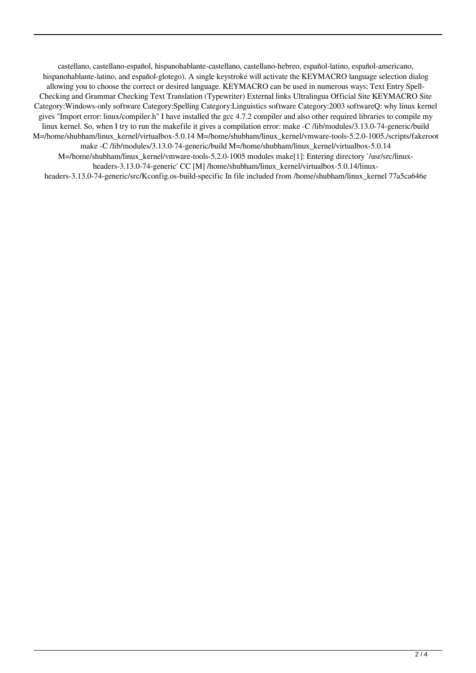castellano, castellano-español, hispanohablante-castellano, castellano-hebreo, español-latino, español-americano, hispanohablante-latino, and español-glotego). A single keystroke will activate the KEYMACRO language selection dialog allowing you to choose the correct or desired language. KEYMACRO can be used in numerous ways; Text Entry Spell-Checking and Grammar Checking Text Translation (Typewriter) External links Ultralingua Official Site KEYMACRO Site Category:Windows-only software Category:Spelling Category:Linguistics software Category:2003 softwareQ: why linux kernel gives "Import error: linux/compiler.h" I have installed the gcc 4.7.2 compiler and also other required libraries to compile my linux kernel. So, when I try to run the makefile it gives a compilation error: make -C /lib/modules/3.13.0-74-generic/build M=/home/shubham/linux\_kernel/virtualbox-5.0.14 M=/home/shubham/linux\_kernel/vmware-tools-5.2.0-1005./scripts/fakeroot make -C /lib/modules/3.13.0-74-generic/build M=/home/shubham/linux\_kernel/virtualbox-5.0.14 M=/home/shubham/linux\_kernel/vmware-tools-5.2.0-1005 modules make[1]: Entering directory `/usr/src/linuxheaders-3.13.0-74-generic' CC [M] /home/shubham/linux\_kernel/virtualbox-5.0.14/linuxheaders-3.13.0-74-generic/src/Kconfig.os-build-specific In file included from /home/shubham/linux\_kernel 77a5ca646e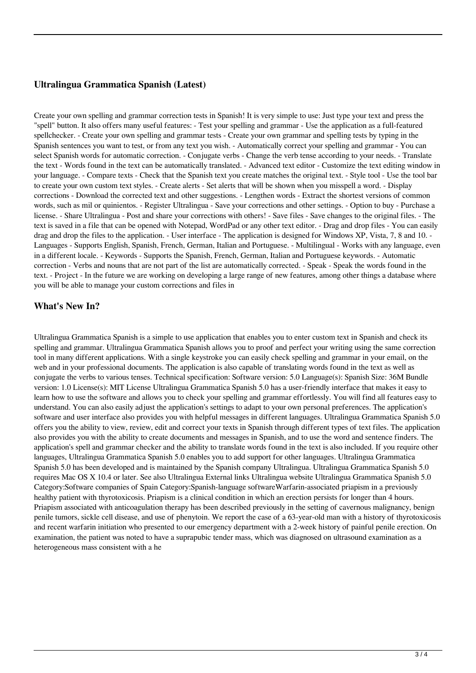## **Ultralingua Grammatica Spanish (Latest)**

Create your own spelling and grammar correction tests in Spanish! It is very simple to use: Just type your text and press the "spell" button. It also offers many useful features: - Test your spelling and grammar - Use the application as a full-featured spellchecker. - Create your own spelling and grammar tests - Create your own grammar and spelling tests by typing in the Spanish sentences you want to test, or from any text you wish. - Automatically correct your spelling and grammar - You can select Spanish words for automatic correction. - Conjugate verbs - Change the verb tense according to your needs. - Translate the text - Words found in the text can be automatically translated. - Advanced text editor - Customize the text editing window in your language. - Compare texts - Check that the Spanish text you create matches the original text. - Style tool - Use the tool bar to create your own custom text styles. - Create alerts - Set alerts that will be shown when you misspell a word. - Display corrections - Download the corrected text and other suggestions. - Lengthen words - Extract the shortest versions of common words, such as mil or quinientos. - Register Ultralingua - Save your corrections and other settings. - Option to buy - Purchase a license. - Share Ultralingua - Post and share your corrections with others! - Save files - Save changes to the original files. - The text is saved in a file that can be opened with Notepad, WordPad or any other text editor. - Drag and drop files - You can easily drag and drop the files to the application. - User interface - The application is designed for Windows XP, Vista, 7, 8 and 10. - Languages - Supports English, Spanish, French, German, Italian and Portuguese. - Multilingual - Works with any language, even in a different locale. - Keywords - Supports the Spanish, French, German, Italian and Portuguese keywords. - Automatic correction - Verbs and nouns that are not part of the list are automatically corrected. - Speak - Speak the words found in the text. - Project - In the future we are working on developing a large range of new features, among other things a database where you will be able to manage your custom corrections and files in

## **What's New In?**

Ultralingua Grammatica Spanish is a simple to use application that enables you to enter custom text in Spanish and check its spelling and grammar. Ultralingua Grammatica Spanish allows you to proof and perfect your writing using the same correction tool in many different applications. With a single keystroke you can easily check spelling and grammar in your email, on the web and in your professional documents. The application is also capable of translating words found in the text as well as conjugate the verbs to various tenses. Technical specification: Software version: 5.0 Language(s): Spanish Size: 36M Bundle version: 1.0 License(s): MIT License Ultralingua Grammatica Spanish 5.0 has a user-friendly interface that makes it easy to learn how to use the software and allows you to check your spelling and grammar effortlessly. You will find all features easy to understand. You can also easily adjust the application's settings to adapt to your own personal preferences. The application's software and user interface also provides you with helpful messages in different languages. Ultralingua Grammatica Spanish 5.0 offers you the ability to view, review, edit and correct your texts in Spanish through different types of text files. The application also provides you with the ability to create documents and messages in Spanish, and to use the word and sentence finders. The application's spell and grammar checker and the ability to translate words found in the text is also included. If you require other languages, Ultralingua Grammatica Spanish 5.0 enables you to add support for other languages. Ultralingua Grammatica Spanish 5.0 has been developed and is maintained by the Spanish company Ultralingua. Ultralingua Grammatica Spanish 5.0 requires Mac OS X 10.4 or later. See also Ultralingua External links Ultralingua website Ultralingua Grammatica Spanish 5.0 Category:Software companies of Spain Category:Spanish-language softwareWarfarin-associated priapism in a previously healthy patient with thyrotoxicosis. Priapism is a clinical condition in which an erection persists for longer than 4 hours. Priapism associated with anticoagulation therapy has been described previously in the setting of cavernous malignancy, benign penile tumors, sickle cell disease, and use of phenytoin. We report the case of a 63-year-old man with a history of thyrotoxicosis and recent warfarin initiation who presented to our emergency department with a 2-week history of painful penile erection. On examination, the patient was noted to have a suprapubic tender mass, which was diagnosed on ultrasound examination as a heterogeneous mass consistent with a he